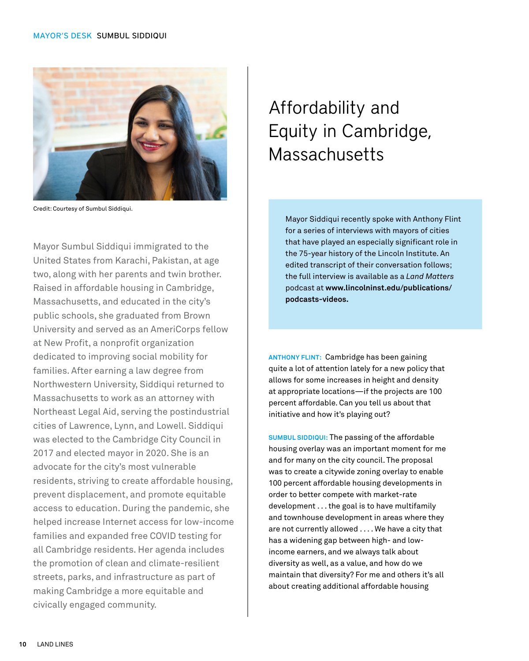

Credit: Courtesy of Sumbul Siddiqui.

Mayor Sumbul Siddiqui immigrated to the United States from Karachi, Pakistan, at age two, along with her parents and twin brother. Raised in affordable housing in Cambridge, Massachusetts, and educated in the city's public schools, she graduated from Brown University and served as an AmeriCorps fellow at New Profit, a nonprofit organization dedicated to improving social mobility for families. After earning a law degree from Northwestern University, Siddiqui returned to Massachusetts to work as an attorney with Northeast Legal Aid, serving the postindustrial cities of Lawrence, Lynn, and Lowell. Siddiqui was elected to the Cambridge City Council in 2017 and elected mayor in 2020. She is an advocate for the city's most vulnerable residents, striving to create affordable housing, prevent displacement, and promote equitable access to education. During the pandemic, she helped increase Internet access for low-income families and expanded free COVID testing for all Cambridge residents. Her agenda includes the promotion of clean and climate-resilient streets, parks, and infrastructure as part of making Cambridge a more equitable and civically engaged community.

## Affordability and Equity in Cambridge, **Massachusetts**

Mayor Siddiqui recently spoke with Anthony Flint for a series of interviews with mayors of cities that have played an especially significant role in the 75-year history of the Lincoln Institute. An edited transcript of their conversation follows; the full interview is available as a *Land Matters* podcast at **[www.lincolninst.edu/publications/](https://www.lincolninst.edu/publications/podcasts-videos) [podcasts-videos](https://www.lincolninst.edu/publications/podcasts-videos).**

**ANTHONY FLINT:** Cambridge has been gaining quite a lot of attention lately for a new policy that allows for some increases in height and density at appropriate locations—if the projects are 100 percent affordable. Can you tell us about that initiative and how it's playing out?

**SUMBUL SIDDIQUI:** The passing of the affordable housing overlay was an important moment for me and for many on the city council. The proposal was to create a citywide zoning overlay to enable 100 percent affordable housing developments in order to better compete with market-rate development . . . the goal is to have multifamily and townhouse development in areas where they are not currently allowed . . . . We have a city that has a widening gap between high- and lowincome earners, and we always talk about diversity as well, as a value, and how do we maintain that diversity? For me and others it's all about creating additional affordable housing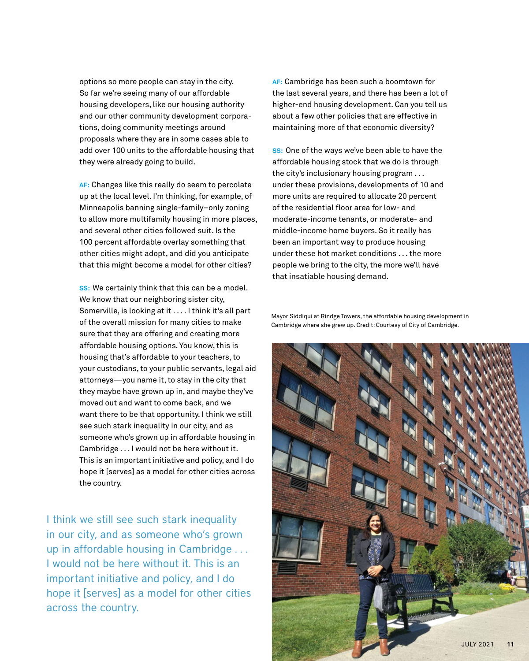options so more people can stay in the city. So far we're seeing many of our affordable housing developers, like our housing authority and our other community development corporations, doing community meetings around proposals where they are in some cases able to add over 100 units to the affordable housing that they were already going to build.

**AF:** Changes like this really do seem to percolate up at the local level. I'm thinking, for example, of Minneapolis banning single-family–only zoning to allow more multifamily housing in more places, and several other cities followed suit. Is the 100 percent affordable overlay something that other cities might adopt, and did you anticipate that this might become a model for other cities?

**SS:** We certainly think that this can be a model. We know that our neighboring sister city, Somerville, is looking at it . . . . I think it's all part of the overall mission for many cities to make sure that they are offering and creating more affordable housing options. You know, this is housing that's affordable to your teachers, to your custodians, to your public servants, legal aid attorneys—you name it, to stay in the city that they maybe have grown up in, and maybe they've moved out and want to come back, and we want there to be that opportunity. I think we still see such stark inequality in our city, and as someone who's grown up in affordable housing in Cambridge . . . I would not be here without it. This is an important initiative and policy, and I do hope it [serves] as a model for other cities across the country.

I think we still see such stark inequality in our city, and as someone who's grown up in affordable housing in Cambridge . . . I would not be here without it. This is an important initiative and policy, and I do hope it [serves] as a model for other cities across the country.

**AF:** Cambridge has been such a boomtown for the last several years, and there has been a lot of higher-end housing development. Can you tell us about a few other policies that are effective in maintaining more of that economic diversity?

**SS:** One of the ways we've been able to have the affordable housing stock that we do is through the city's inclusionary housing program . . . under these provisions, developments of 10 and more units are required to allocate 20 percent of the residential floor area for low- and moderate-income tenants, or moderate- and middle-income home buyers. So it really has been an important way to produce housing under these hot market conditions . . . the more people we bring to the city, the more we'll have that insatiable housing demand.

Mayor Siddiqui at Rindge Towers, the affordable housing development in Cambridge where she grew up. Credit: Courtesy of City of Cambridge.

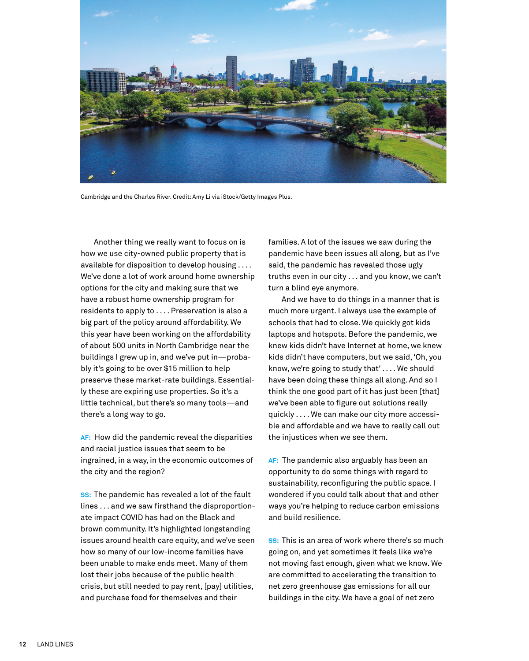

Cambridge and the Charles River. Credit: Amy Li via iStock/Getty Images Plus.

Another thing we really want to focus on is how we use city-owned public property that is available for disposition to develop housing . . . . We've done a lot of work around home ownership options for the city and making sure that we have a robust home ownership program for residents to apply to . . . . Preservation is also a big part of the policy around affordability. We this year have been working on the affordability of about 500 units in North Cambridge near the buildings I grew up in, and we've put in—probably it's going to be over \$15 million to help preserve these market-rate buildings. Essentially these are expiring use properties. So it's a little technical, but there's so many tools—and there's a long way to go.

**AF:** How did the pandemic reveal the disparities and racial justice issues that seem to be ingrained, in a way, in the economic outcomes of the city and the region?

**SS:** The pandemic has revealed a lot of the fault lines . . . and we saw firsthand the disproportionate impact COVID has had on the Black and brown community. It's highlighted longstanding issues around health care equity, and we've seen how so many of our low-income families have been unable to make ends meet. Many of them lost their jobs because of the public health crisis, but still needed to pay rent, [pay] utilities, and purchase food for themselves and their

families. A lot of the issues we saw during the pandemic have been issues all along, but as I've said, the pandemic has revealed those ugly truths even in our city . . . and you know, we can't turn a blind eye anymore.

And we have to do things in a manner that is much more urgent. I always use the example of schools that had to close. We quickly got kids laptops and hotspots. Before the pandemic, we knew kids didn't have Internet at home, we knew kids didn't have computers, but we said, 'Oh, you know, we're going to study that' . . . . We should have been doing these things all along. And so I think the one good part of it has just been [that] we've been able to figure out solutions really quickly . . . . We can make our city more accessible and affordable and we have to really call out the injustices when we see them.

**AF:** The pandemic also arguably has been an opportunity to do some things with regard to sustainability, reconfiguring the public space. I wondered if you could talk about that and other ways you're helping to reduce carbon emissions and build resilience.

**SS:** This is an area of work where there's so much going on, and yet sometimes it feels like we're not moving fast enough, given what we know. We are committed to accelerating the transition to net zero greenhouse gas emissions for all our buildings in the city. We have a goal of net zero